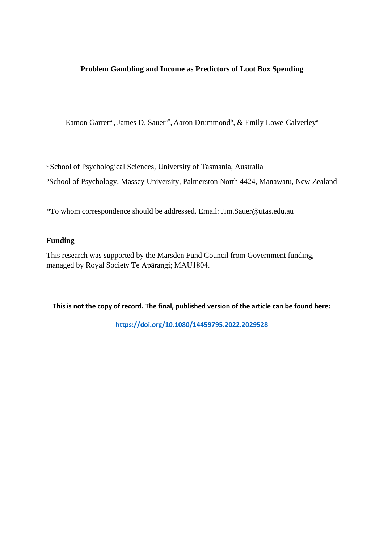## **Problem Gambling and Income as Predictors of Loot Box Spending**

Eamon Garrett<sup>a</sup>, James D. Sauer<sup>a\*</sup>, Aaron Drummond<sup>b</sup>, & Emily Lowe-Calverley<sup>a</sup>

<sup>a</sup> School of Psychological Sciences, University of Tasmania, Australia

<sup>b</sup>School of Psychology, Massey University, Palmerston North 4424, Manawatu, New Zealand

\*To whom correspondence should be addressed. Email: Jim.Sauer@utas.edu.au

## **Funding**

This research was supported by the Marsden Fund Council from Government funding, managed by Royal Society Te Apārangi; MAU1804.

**This is not the copy of record. The final, published version of the article can be found here:** 

**<https://doi.org/10.1080/14459795.2022.2029528>**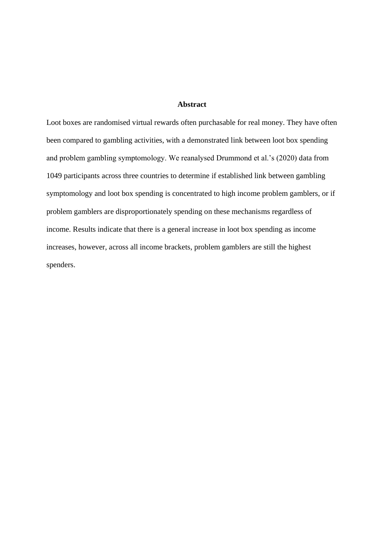## **Abstract**

Loot boxes are randomised virtual rewards often purchasable for real money. They have often been compared to gambling activities, with a demonstrated link between loot box spending and problem gambling symptomology. We reanalysed Drummond et al.'s (2020) data from 1049 participants across three countries to determine if established link between gambling symptomology and loot box spending is concentrated to high income problem gamblers, or if problem gamblers are disproportionately spending on these mechanisms regardless of income. Results indicate that there is a general increase in loot box spending as income increases, however, across all income brackets, problem gamblers are still the highest spenders.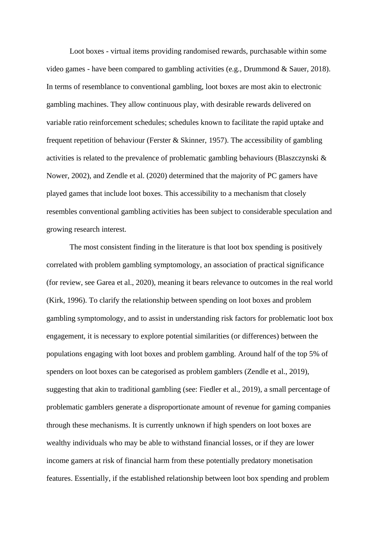Loot boxes - virtual items providing randomised rewards, purchasable within some video games - have been compared to gambling activities (e.g., Drummond & Sauer, 2018). In terms of resemblance to conventional gambling, loot boxes are most akin to electronic gambling machines. They allow continuous play, with desirable rewards delivered on variable ratio reinforcement schedules; schedules known to facilitate the rapid uptake and frequent repetition of behaviour (Ferster & Skinner, 1957). The accessibility of gambling activities is related to the prevalence of problematic gambling behaviours (Blaszczynski & Nower, 2002), and Zendle et al. (2020) determined that the majority of PC gamers have played games that include loot boxes. This accessibility to a mechanism that closely resembles conventional gambling activities has been subject to considerable speculation and growing research interest.

The most consistent finding in the literature is that loot box spending is positively correlated with problem gambling symptomology, an association of practical significance (for review, see Garea et al., 2020), meaning it bears relevance to outcomes in the real world (Kirk, 1996). To clarify the relationship between spending on loot boxes and problem gambling symptomology, and to assist in understanding risk factors for problematic loot box engagement, it is necessary to explore potential similarities (or differences) between the populations engaging with loot boxes and problem gambling. Around half of the top 5% of spenders on loot boxes can be categorised as problem gamblers (Zendle et al., 2019), suggesting that akin to traditional gambling (see: Fiedler et al., 2019), a small percentage of problematic gamblers generate a disproportionate amount of revenue for gaming companies through these mechanisms. It is currently unknown if high spenders on loot boxes are wealthy individuals who may be able to withstand financial losses, or if they are lower income gamers at risk of financial harm from these potentially predatory monetisation features. Essentially, if the established relationship between loot box spending and problem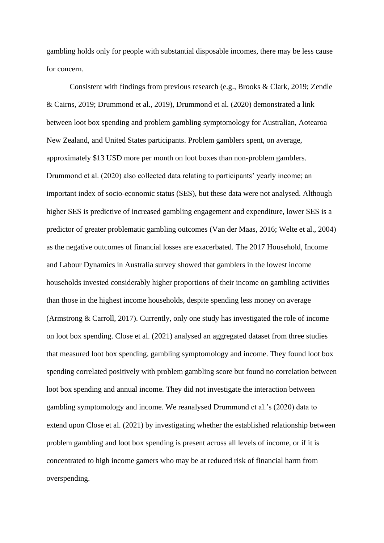gambling holds only for people with substantial disposable incomes, there may be less cause for concern.

Consistent with findings from previous research (e.g., Brooks & Clark, 2019; Zendle & Cairns, 2019; Drummond et al., 2019), Drummond et al. (2020) demonstrated a link between loot box spending and problem gambling symptomology for Australian, Aotearoa New Zealand, and United States participants. Problem gamblers spent, on average, approximately \$13 USD more per month on loot boxes than non-problem gamblers. Drummond et al. (2020) also collected data relating to participants' yearly income; an important index of socio-economic status (SES), but these data were not analysed. Although higher SES is predictive of increased gambling engagement and expenditure, lower SES is a predictor of greater problematic gambling outcomes (Van der Maas, 2016; Welte et al., 2004) as the negative outcomes of financial losses are exacerbated. The 2017 Household, Income and Labour Dynamics in Australia survey showed that gamblers in the lowest income households invested considerably higher proportions of their income on gambling activities than those in the highest income households, despite spending less money on average (Armstrong & Carroll, 2017). Currently, only one study has investigated the role of income on loot box spending. Close et al. (2021) analysed an aggregated dataset from three studies that measured loot box spending, gambling symptomology and income. They found loot box spending correlated positively with problem gambling score but found no correlation between loot box spending and annual income. They did not investigate the interaction between gambling symptomology and income. We reanalysed Drummond et al.'s (2020) data to extend upon Close et al. (2021) by investigating whether the established relationship between problem gambling and loot box spending is present across all levels of income, or if it is concentrated to high income gamers who may be at reduced risk of financial harm from overspending.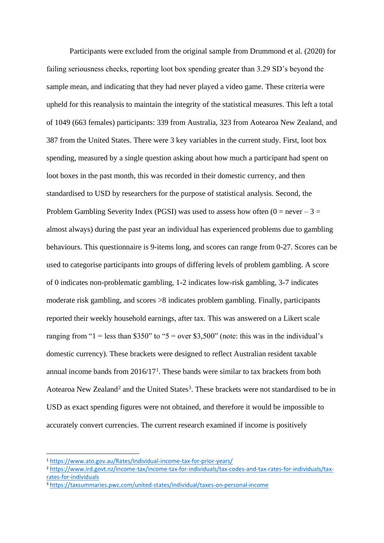Participants were excluded from the original sample from Drummond et al. (2020) for failing seriousness checks, reporting loot box spending greater than 3.29 SD's beyond the sample mean, and indicating that they had never played a video game. These criteria were upheld for this reanalysis to maintain the integrity of the statistical measures. This left a total of 1049 (663 females) participants: 339 from Australia, 323 from Aotearoa New Zealand, and 387 from the United States. There were 3 key variables in the current study. First, loot box spending, measured by a single question asking about how much a participant had spent on loot boxes in the past month, this was recorded in their domestic currency, and then standardised to USD by researchers for the purpose of statistical analysis. Second, the Problem Gambling Severity Index (PGSI) was used to assess how often  $(0 = never - 3 =$ almost always) during the past year an individual has experienced problems due to gambling behaviours. This questionnaire is 9-items long, and scores can range from 0-27. Scores can be used to categorise participants into groups of differing levels of problem gambling. A score of 0 indicates non-problematic gambling, 1-2 indicates low-risk gambling, 3-7 indicates moderate risk gambling, and scores >8 indicates problem gambling. Finally, participants reported their weekly household earnings, after tax. This was answered on a Likert scale ranging from "1 = less than \$350" to "5 = over \$3,500" (note: this was in the individual's domestic currency). These brackets were designed to reflect Australian resident taxable annual income bands from  $2016/17<sup>1</sup>$ . These bands were similar to tax brackets from both Aotearoa New Zealand<sup>2</sup> and the United States<sup>3</sup>. These brackets were not standardised to be in USD as exact spending figures were not obtained, and therefore it would be impossible to accurately convert currencies. The current research examined if income is positively

<sup>1</sup> <https://www.ato.gov.au/Rates/Individual-income-tax-for-prior-years/>

<sup>2</sup> [https://www.ird.govt.nz/income-tax/income-tax-for-individuals/tax-codes-and-tax-rates-for-individuals/tax](https://www.ird.govt.nz/income-tax/income-tax-for-individuals/tax-codes-and-tax-rates-for-individuals/tax-rates-for-individuals)[rates-for-individuals](https://www.ird.govt.nz/income-tax/income-tax-for-individuals/tax-codes-and-tax-rates-for-individuals/tax-rates-for-individuals)

<sup>3</sup> <https://taxsummaries.pwc.com/united-states/individual/taxes-on-personal-income>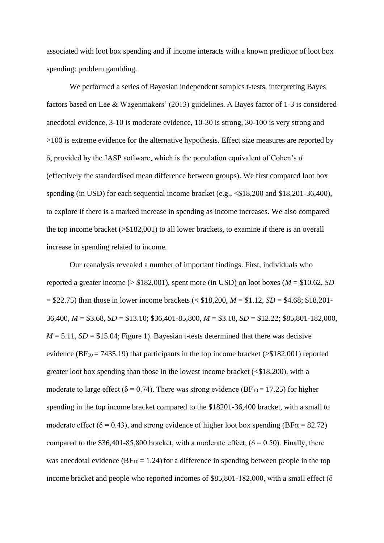associated with loot box spending and if income interacts with a known predictor of loot box spending: problem gambling.

We performed a series of Bayesian independent samples t-tests, interpreting Bayes factors based on Lee & Wagenmakers' (2013) guidelines. A Bayes factor of 1-3 is considered anecdotal evidence, 3-10 is moderate evidence, 10-30 is strong, 30-100 is very strong and >100 is extreme evidence for the alternative hypothesis. Effect size measures are reported by δ, provided by the JASP software, which is the population equivalent of Cohen's *d* (effectively the standardised mean difference between groups). We first compared loot box spending (in USD) for each sequential income bracket (e.g.,  $\leq$ \$18,200 and \$18,201-36,400), to explore if there is a marked increase in spending as income increases. We also compared the top income bracket (>\$182,001) to all lower brackets, to examine if there is an overall increase in spending related to income.

Our reanalysis revealed a number of important findings. First, individuals who reported a greater income (> \$182,001), spent more (in USD) on loot boxes (*M* = \$10.62, *SD* = \$22.75) than those in lower income brackets (< \$18,200, *M* = \$1.12, *SD* = \$4.68; \$18,201- 36,400, *M* = \$3.68, *SD* = \$13.10; \$36,401-85,800, *M* = \$3.18, *SD* = \$12.22; \$85,801-182,000,  $M = 5.11$ ,  $SD = $15.04$ ; Figure 1). Bayesian t-tests determined that there was decisive evidence ( $BF_{10} = 7435.19$ ) that participants in the top income bracket ( $\geq $182,001$ ) reported greater loot box spending than those in the lowest income bracket  $( $$18,200$ ), with a$ moderate to large effect ( $\delta = 0.74$ ). There was strong evidence (BF<sub>10</sub> = 17.25) for higher spending in the top income bracket compared to the \$18201-36,400 bracket, with a small to moderate effect ( $\delta$  = 0.43), and strong evidence of higher loot box spending (BF<sub>10</sub> = 82.72) compared to the \$36,401-85,800 bracket, with a moderate effect,  $(\delta = 0.50)$ . Finally, there was anecdotal evidence ( $BF_{10} = 1.24$ ) for a difference in spending between people in the top income bracket and people who reported incomes of \$85,801-182,000, with a small effect (δ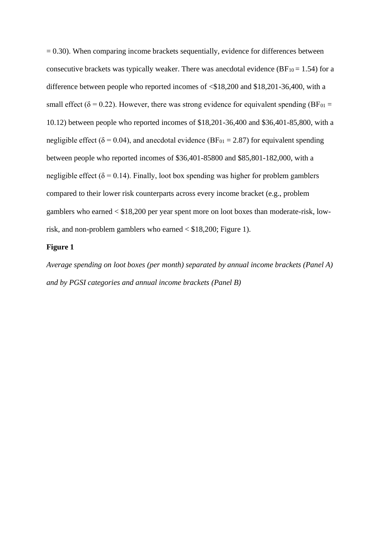$= 0.30$ ). When comparing income brackets sequentially, evidence for differences between consecutive brackets was typically weaker. There was anecdotal evidence ( $BF_{10} = 1.54$ ) for a difference between people who reported incomes of <\$18,200 and \$18,201-36,400, with a small effect ( $\delta = 0.22$ ). However, there was strong evidence for equivalent spending (BF<sub>01</sub> = 10.12) between people who reported incomes of \$18,201-36,400 and \$36,401-85,800, with a negligible effect ( $\delta$  = 0.04), and anecdotal evidence (BF<sub>01</sub> = 2.87) for equivalent spending between people who reported incomes of \$36,401-85800 and \$85,801-182,000, with a negligible effect ( $\delta$  = 0.14). Finally, loot box spending was higher for problem gamblers compared to their lower risk counterparts across every income bracket (e.g., problem gamblers who earned < \$18,200 per year spent more on loot boxes than moderate-risk, lowrisk, and non-problem gamblers who earned < \$18,200; Figure 1).

### **Figure 1**

*Average spending on loot boxes (per month) separated by annual income brackets (Panel A) and by PGSI categories and annual income brackets (Panel B)*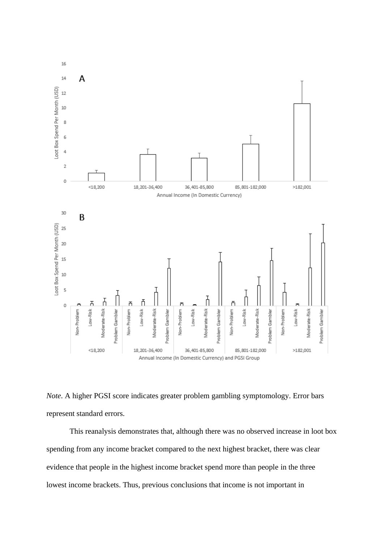

*Note*. A higher PGSI score indicates greater problem gambling symptomology. Error bars represent standard errors.

This reanalysis demonstrates that, although there was no observed increase in loot box spending from any income bracket compared to the next highest bracket, there was clear evidence that people in the highest income bracket spend more than people in the three lowest income brackets. Thus, previous conclusions that income is not important in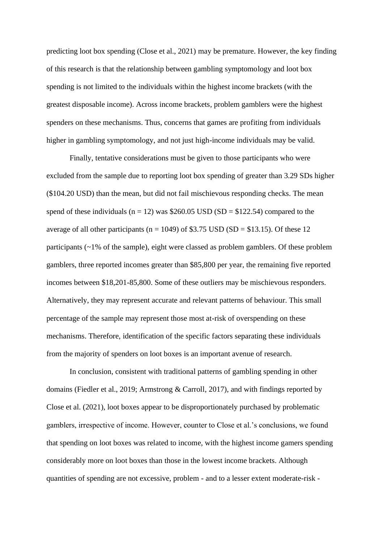predicting loot box spending (Close et al., 2021) may be premature. However, the key finding of this research is that the relationship between gambling symptomology and loot box spending is not limited to the individuals within the highest income brackets (with the greatest disposable income). Across income brackets, problem gamblers were the highest spenders on these mechanisms. Thus, concerns that games are profiting from individuals higher in gambling symptomology, and not just high-income individuals may be valid.

Finally, tentative considerations must be given to those participants who were excluded from the sample due to reporting loot box spending of greater than 3.29 SDs higher (\$104.20 USD) than the mean, but did not fail mischievous responding checks. The mean spend of these individuals ( $n = 12$ ) was \$260.05 USD (SD = \$122.54) compared to the average of all other participants ( $n = 1049$ ) of \$3.75 USD (SD = \$13.15). Of these 12 participants (~1% of the sample), eight were classed as problem gamblers. Of these problem gamblers, three reported incomes greater than \$85,800 per year, the remaining five reported incomes between \$18,201-85,800. Some of these outliers may be mischievous responders. Alternatively, they may represent accurate and relevant patterns of behaviour. This small percentage of the sample may represent those most at-risk of overspending on these mechanisms. Therefore, identification of the specific factors separating these individuals from the majority of spenders on loot boxes is an important avenue of research.

In conclusion, consistent with traditional patterns of gambling spending in other domains (Fiedler et al., 2019; Armstrong & Carroll, 2017), and with findings reported by Close et al. (2021), loot boxes appear to be disproportionately purchased by problematic gamblers, irrespective of income. However, counter to Close et al.'s conclusions, we found that spending on loot boxes was related to income, with the highest income gamers spending considerably more on loot boxes than those in the lowest income brackets. Although quantities of spending are not excessive, problem - and to a lesser extent moderate-risk -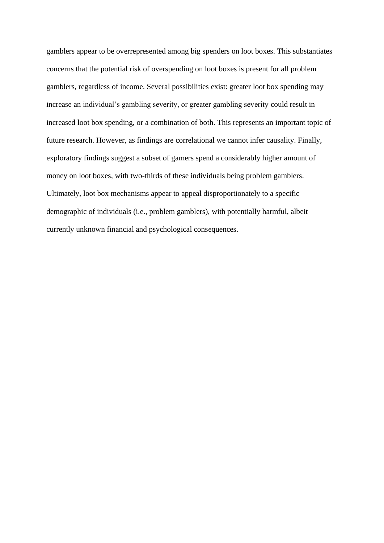gamblers appear to be overrepresented among big spenders on loot boxes. This substantiates concerns that the potential risk of overspending on loot boxes is present for all problem gamblers, regardless of income. Several possibilities exist: greater loot box spending may increase an individual's gambling severity, or greater gambling severity could result in increased loot box spending, or a combination of both. This represents an important topic of future research. However, as findings are correlational we cannot infer causality. Finally, exploratory findings suggest a subset of gamers spend a considerably higher amount of money on loot boxes, with two-thirds of these individuals being problem gamblers. Ultimately, loot box mechanisms appear to appeal disproportionately to a specific demographic of individuals (i.e., problem gamblers), with potentially harmful, albeit currently unknown financial and psychological consequences.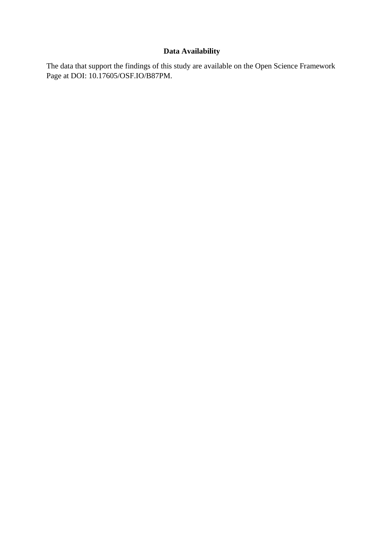# **Data Availability**

The data that support the findings of this study are available on the Open Science Framework Page at DOI: 10.17605/OSF.IO/B87PM.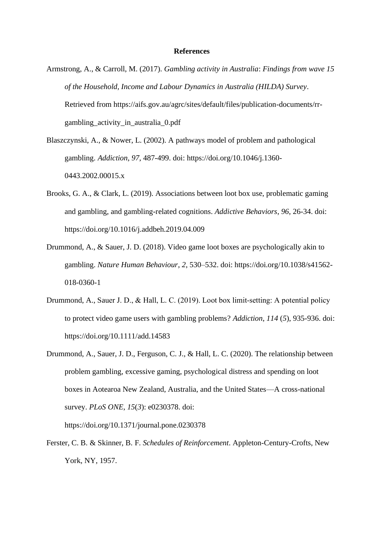#### **References**

- Armstrong, A., & Carroll, M. (2017). *Gambling activity in Australia*: *Findings from wave 15 of the Household, Income and Labour Dynamics in Australia (HILDA) Survey*. Retrieved from https://aifs.gov.au/agrc/sites/default/files/publication-documents/rrgambling\_activity\_in\_australia\_0.pdf
- Blaszczynski, A., & Nower, L. (2002). A pathways model of problem and pathological gambling. *Addiction*, *97*, 487-499. doi: https://doi.org/10.1046/j.1360- 0443.2002.00015.x
- Brooks, G. A., & Clark, L. (2019). Associations between loot box use, problematic gaming and gambling, and gambling-related cognitions. *Addictive Behaviors*, *96*, 26-34. doi: https://doi.org/10.1016/j.addbeh.2019.04.009
- Drummond, A., & Sauer, J. D. (2018). Video game loot boxes are psychologically akin to gambling. *Nature Human Behaviour*, *2*, 530–532. doi: https://doi.org/10.1038/s41562- 018-0360-1
- Drummond, A., Sauer J. D., & Hall, L. C. (2019). Loot box limit‐setting: A potential policy to protect video game users with gambling problems? *Addiction*, *114* (*5*), 935-936. doi: https://doi.org/10.1111/add.14583
- Drummond, A., Sauer, J. D., Ferguson, C. J., & Hall, L. C. (2020). The relationship between problem gambling, excessive gaming, psychological distress and spending on loot boxes in Aotearoa New Zealand, Australia, and the United States—A cross-national survey. *PLoS ONE*, *15*(*3*): e0230378. doi:

https://doi.org/10.1371/journal.pone.0230378

Ferster, C. B. & Skinner, B. F. *Schedules of Reinforcement*. Appleton-Century-Crofts, New York, NY, 1957.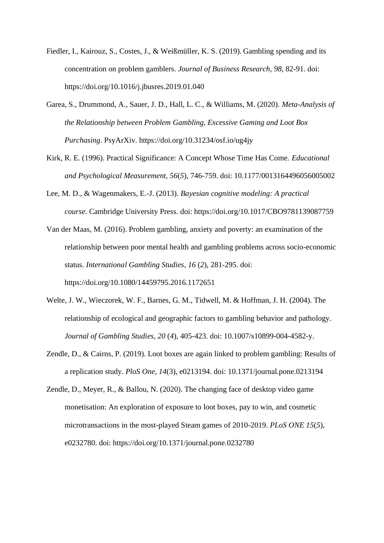- Fiedler, I., Kairouz, S., Costes, J., & Weißmüller, K. S. (2019). Gambling spending and its concentration on problem gamblers. *Journal of Business Research*, *98*, 82-91. doi: https://doi.org/10.1016/j.jbusres.2019.01.040
- Garea, S., Drummond, A., Sauer, J. D., Hall, L. C., & Williams, M. (2020). *Meta-Analysis of the Relationship between Problem Gambling, Excessive Gaming and Loot Box Purchasing*. PsyArXiv. https://doi.org/10.31234/osf.io/ug4jy
- Kirk, R. E. (1996). Practical Significance: A Concept Whose Time Has Come. *Educational and Psychological Measurement*, *56*(*5*), 746-759. doi: 10.1177/0013164496056005002
- Lee, M. D., & Wagenmakers, E.-J. (2013). *Bayesian cognitive modeling: A practical course.* Cambridge University Press. doi: https://doi.org/10.1017/CBO9781139087759
- Van der Maas, M. (2016). Problem gambling, anxiety and poverty: an examination of the relationship between poor mental health and gambling problems across socio-economic status. *International Gambling Studies*, *16* (*2*), 281-295. doi: https://doi.org/10.1080/14459795.2016.1172651
- Welte, J. W., Wieczorek, W. F., Barnes, G. M., Tidwell, M. & Hoffman, J. H. (2004). The relationship of ecological and geographic factors to gambling behavior and pathology. *Journal of Gambling Studies*, *20* (*4*), 405-423. doi: 10.1007/s10899-004-4582-y.
- Zendle, D., & Cairns, P. (2019). Loot boxes are again linked to problem gambling: Results of a replication study. *PloS One, 14*(3), e0213194. doi: 10.1371/journal.pone.0213194
- Zendle, D., Meyer, R., & Ballou, N. (2020). The changing face of desktop video game monetisation: An exploration of exposure to loot boxes, pay to win, and cosmetic microtransactions in the most-played Steam games of 2010-2019. *PLoS ONE 15*(*5*), e0232780. doi: https://doi.org/10.1371/journal.pone.0232780